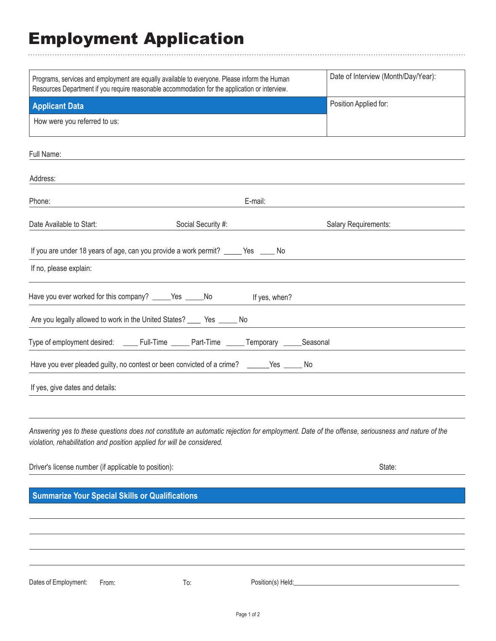## Employment Application

 $\ddot{\phantom{a}}$ 

| Programs, services and employment are equally available to everyone. Please inform the Human   |                                                                                             |                   | Date of Interview (Month/Day/Year):                                                                                                            |
|------------------------------------------------------------------------------------------------|---------------------------------------------------------------------------------------------|-------------------|------------------------------------------------------------------------------------------------------------------------------------------------|
| Resources Department if you require reasonable accommodation for the application or interview. |                                                                                             |                   |                                                                                                                                                |
| <b>Applicant Data</b>                                                                          |                                                                                             |                   | Position Applied for:                                                                                                                          |
| How were you referred to us:                                                                   |                                                                                             |                   |                                                                                                                                                |
| Full Name:                                                                                     |                                                                                             |                   |                                                                                                                                                |
| Address:                                                                                       |                                                                                             |                   |                                                                                                                                                |
| Phone:                                                                                         |                                                                                             | E-mail:           |                                                                                                                                                |
| Date Available to Start:                                                                       | Social Security #:                                                                          |                   | Salary Requirements:                                                                                                                           |
|                                                                                                | If you are under 18 years of age, can you provide a work permit? _____ Yes _____ No         |                   |                                                                                                                                                |
| If no, please explain:                                                                         |                                                                                             |                   |                                                                                                                                                |
|                                                                                                | Have you ever worked for this company? _____Yes _____No ff yes, when?                       |                   |                                                                                                                                                |
|                                                                                                | Are you legally allowed to work in the United States? _____ Yes ______ No                   |                   |                                                                                                                                                |
|                                                                                                | Type of employment desired: _____ Full-Time ______ Part-Time ______ Temporary _____Seasonal |                   |                                                                                                                                                |
|                                                                                                | Have you ever pleaded guilty, no contest or been convicted of a crime? ______Yes _____ No   |                   |                                                                                                                                                |
| If yes, give dates and details:                                                                |                                                                                             |                   |                                                                                                                                                |
| violation, rehabilitation and position applied for will be considered.                         |                                                                                             |                   | Answering yes to these questions does not constitute an automatic rejection for employment. Date of the offense, seriousness and nature of the |
| Driver's license number (if applicable to position):                                           |                                                                                             |                   | State:                                                                                                                                         |
| <b>Summarize Your Special Skills or Qualifications</b>                                         |                                                                                             |                   |                                                                                                                                                |
|                                                                                                |                                                                                             |                   |                                                                                                                                                |
|                                                                                                |                                                                                             |                   |                                                                                                                                                |
|                                                                                                |                                                                                             |                   |                                                                                                                                                |
| Dates of Employment:<br>From:                                                                  | To:                                                                                         | Position(s) Held: |                                                                                                                                                |